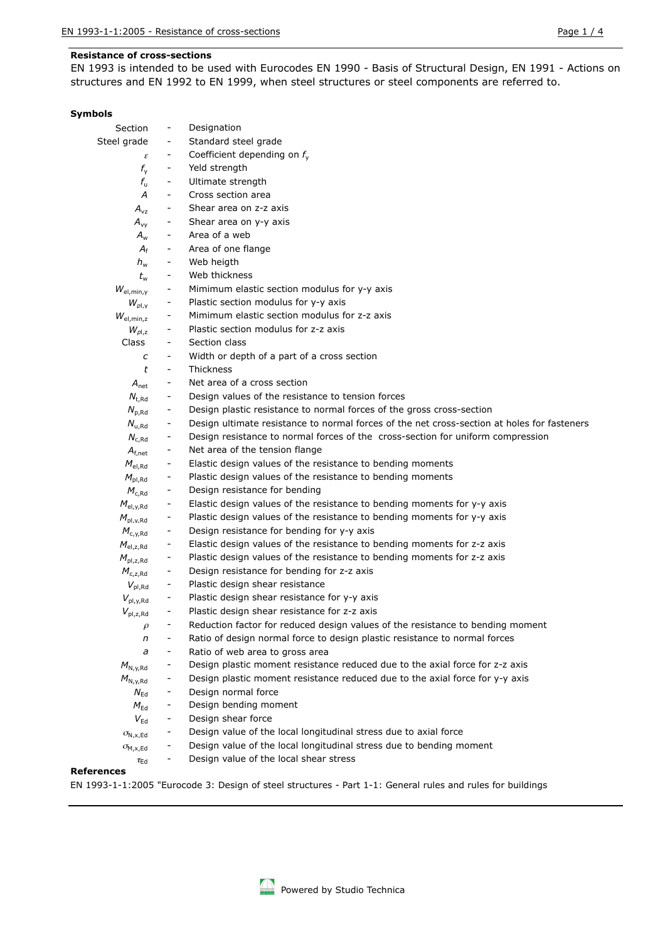### **Resistance of cross-sections**

EN 1993 is intended to be used with Eurocodes EN 1990 - Basis of Structural Design, EN 1991 - Actions on structures and EN 1992 to EN 1999, when steel structures or steel components are referred to.

### **Symbols**

| Section                                        |                          | Designation                                                                                 |
|------------------------------------------------|--------------------------|---------------------------------------------------------------------------------------------|
| Steel grade                                    | $\overline{\phantom{a}}$ | Standard steel grade                                                                        |
| $\boldsymbol{\varepsilon}$                     | $\overline{\phantom{a}}$ | Coefficient depending on $f_{v}$                                                            |
| $f_{\rm v}$                                    | $\overline{\phantom{0}}$ | Yeld strength                                                                               |
| $f_{\rm u}$                                    | $\overline{\phantom{a}}$ | Ultimate strength                                                                           |
| A                                              | $\overline{\phantom{a}}$ | Cross section area                                                                          |
| $A_{vz}$                                       | $\overline{\phantom{a}}$ | Shear area on z-z axis                                                                      |
| $A_{\rm vv}$                                   | -                        | Shear area on y-y axis                                                                      |
| $A_{\rm w}$                                    |                          | Area of a web                                                                               |
| $A_{\rm f}$                                    |                          | Area of one flange                                                                          |
| $h_{\rm w}$                                    | $\overline{\phantom{a}}$ | Web heigth                                                                                  |
| $t_{\rm w}$                                    | -                        | Web thickness                                                                               |
| $W_{\text{el,min,y}}$                          |                          | Mimimum elastic section modulus for y-y axis                                                |
| $W_{\text{pl.v}}$                              | -                        | Plastic section modulus for y-y axis                                                        |
| $W_{el,min,z}$                                 |                          | Mimimum elastic section modulus for z-z axis                                                |
| $W_{\rho l,z}$                                 |                          | Plastic section modulus for z-z axis                                                        |
| Class                                          |                          | Section class                                                                               |
| с                                              |                          | Width or depth of a part of a cross section                                                 |
| t                                              | $\overline{\phantom{a}}$ | Thickness                                                                                   |
| $A_{\text{net}}$                               | -                        | Net area of a cross section                                                                 |
| $N_{t, Rd}$                                    | -                        | Design values of the resistance to tension forces                                           |
| $N_{p, Rd}$                                    | -                        | Design plastic resistance to normal forces of the gross cross-section                       |
| $N_{u, Rd}$                                    | -                        | Design ultimate resistance to normal forces of the net cross-section at holes for fasteners |
| $N_{c, Rd}$                                    | -                        | Design resistance to normal forces of the cross-section for uniform compression             |
| $A_{f,net}$                                    | -                        | Net area of the tension flange                                                              |
| $M_{\rm el, Rd}$                               |                          | Elastic design values of the resistance to bending moments                                  |
| $M_{\rm pl, Rd}$                               | -                        | Plastic design values of the resistance to bending moments                                  |
| $M_{c, Rd}$                                    | $\overline{\phantom{a}}$ | Design resistance for bending                                                               |
| $M_{\rm el, v, Rd}$                            | -                        | Elastic design values of the resistance to bending moments for y-y axis                     |
| $M_{\text{pl},\text{y},\text{Rd}}$             | -                        | Plastic design values of the resistance to bending moments for y-y axis                     |
| $M_{c,v, Rd}$                                  | -                        | Design resistance for bending for y-y axis                                                  |
| $M_{\rm el.z,Rd}$                              |                          | Elastic design values of the resistance to bending moments for z-z axis                     |
| $M_{\rm pl,z,Rd}$                              |                          | Plastic design values of the resistance to bending moments for z-z axis                     |
| $M_{c,z, Rd}$                                  | -                        | Design resistance for bending for z-z axis                                                  |
| $V_{\text{pl,Rd}}$                             | -                        | Plastic design shear resistance                                                             |
| $V_{\text{pl},\text{y},\text{Rd}}$             |                          | Plastic design shear resistance for y-y axis                                                |
| $V_{\text{pl,z,Rd}}$                           |                          | Plastic design shear resistance for z-z axis                                                |
| $\rho$                                         |                          | Reduction factor for reduced design values of the resistance to bending moment              |
| n                                              |                          | Ratio of design normal force to design plastic resistance to normal forces                  |
| a                                              | $\overline{\phantom{a}}$ | Ratio of web area to gross area                                                             |
| $M_{\rm N.v.Rd}$                               |                          | Design plastic moment resistance reduced due to the axial force for z-z axis                |
| $M_{N, \gamma, Rd}$                            |                          | Design plastic moment resistance reduced due to the axial force for y-y axis                |
| $N_{\rm Ed}$                                   | -                        | Design normal force                                                                         |
| $M_{\sf Ed}$                                   | $\overline{\phantom{a}}$ | Design bending moment                                                                       |
| $V_{\sf Ed}$                                   | -                        | Design shear force                                                                          |
| $\sigma_{\mathsf{N},\mathsf{x},\mathsf{Ed}}$   | -                        | Design value of the local longitudinal stress due to axial force                            |
| $\sigma_{\mathsf{M}, \mathsf{x}, \mathsf{Ed}}$ |                          | Design value of the local longitudinal stress due to bending moment                         |
| $\tau_\mathsf{Ed}$                             | $\qquad \qquad -$        | Design value of the local shear stress                                                      |
|                                                |                          |                                                                                             |

#### **References**

EN 1993-1-1:2005 "Eurocode 3: Design of steel structures - Part 1-1: General rules and rules for buildings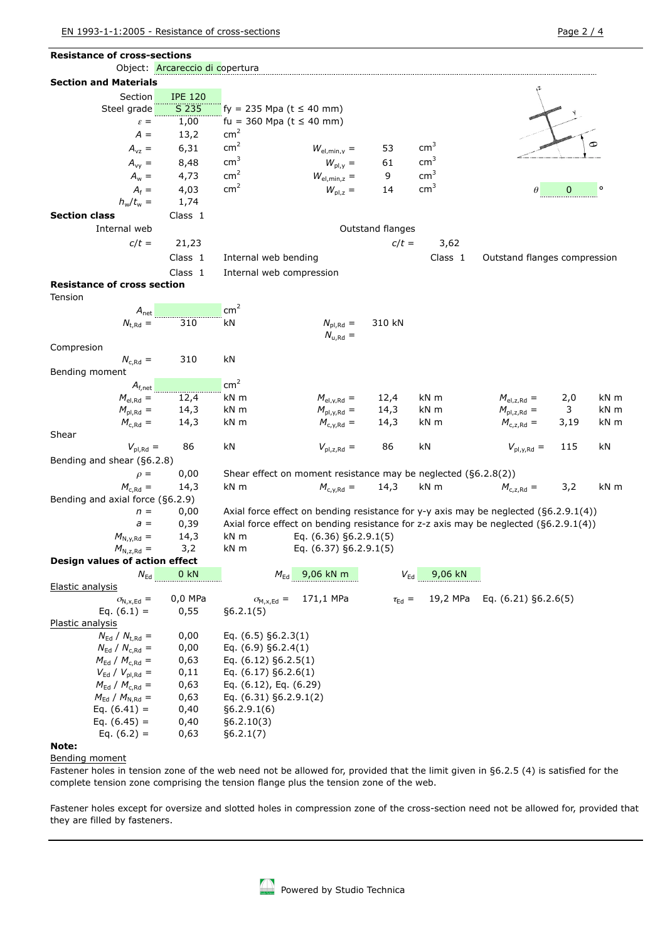| <b>Resistance of cross-sections</b>            |                                 |                                         |                                                                |                      |                 |                                                                                        |      |      |
|------------------------------------------------|---------------------------------|-----------------------------------------|----------------------------------------------------------------|----------------------|-----------------|----------------------------------------------------------------------------------------|------|------|
|                                                | Object: Arcareccio di copertura |                                         |                                                                |                      |                 |                                                                                        |      |      |
| <b>Section and Materials</b>                   |                                 |                                         |                                                                |                      |                 |                                                                                        |      |      |
| Section                                        | <b>IPE 120</b>                  |                                         |                                                                |                      |                 |                                                                                        |      |      |
| Steel grade                                    | S 235                           | fy = 235 Mpa ( $t \le 40$ mm)           |                                                                |                      |                 |                                                                                        |      |      |
| $\varepsilon =$                                | 1,00                            | fu = 360 Mpa ( $t \le 40$ mm)           |                                                                |                      |                 |                                                                                        |      |      |
| $A =$                                          | 13,2                            | cm <sup>2</sup>                         |                                                                |                      |                 |                                                                                        |      |      |
| $A_{vz} =$                                     | 6,31                            | cm <sup>2</sup>                         | $W_{el,min,y} =$                                               | 53                   | cm <sup>3</sup> |                                                                                        |      |      |
| $A_{\rm vy} =$                                 | 8,48                            | $\text{cm}^3$                           | $W_{\text{pl},y} =$                                            | 61                   | cm <sup>3</sup> |                                                                                        |      |      |
| $A_w =$                                        | 4,73                            | cm <sup>2</sup>                         | $W_{el,min,z}$ =                                               | 9                    | cm <sup>3</sup> |                                                                                        |      |      |
| $A_f =$                                        | 4,03                            | cm <sup>2</sup>                         | $W_{\text{pl},z} =$                                            | 14                   | cm <sup>3</sup> |                                                                                        | 0    |      |
| $h_w/t_w =$                                    | 1,74                            |                                         |                                                                |                      |                 |                                                                                        |      |      |
| <b>Section class</b>                           | Class 1                         |                                         |                                                                |                      |                 |                                                                                        |      |      |
| Internal web                                   |                                 |                                         |                                                                | Outstand flanges     |                 |                                                                                        |      |      |
| $c/t =$                                        | 21,23                           |                                         |                                                                | $c/t =$              | 3,62            |                                                                                        |      |      |
|                                                | Class 1                         | Internal web bending                    |                                                                |                      | Class 1         | Outstand flanges compression                                                           |      |      |
|                                                | Class 1                         | Internal web compression                |                                                                |                      |                 |                                                                                        |      |      |
| <b>Resistance of cross section</b>             |                                 |                                         |                                                                |                      |                 |                                                                                        |      |      |
| Tension                                        |                                 |                                         |                                                                |                      |                 |                                                                                        |      |      |
| $A_{\text{net}}$                               |                                 | cm <sup>2</sup>                         |                                                                |                      |                 |                                                                                        |      |      |
| $N_{t,Rd} =$                                   | $\overline{310}$                | kN                                      | $N_{\text{pl,Rd}} =$                                           | 310 kN               |                 |                                                                                        |      |      |
|                                                |                                 |                                         | $N_{\rm u, Rd}$ =                                              |                      |                 |                                                                                        |      |      |
| Compresion                                     |                                 |                                         |                                                                |                      |                 |                                                                                        |      |      |
| $N_{c, Rd} =$                                  | 310                             | kN                                      |                                                                |                      |                 |                                                                                        |      |      |
| Bending moment                                 |                                 |                                         |                                                                |                      |                 |                                                                                        |      |      |
| $A_{f,net}$ <sub></sub>                        |                                 | cm <sup>2</sup>                         |                                                                |                      |                 |                                                                                        |      |      |
| $M_{el, Rd} =$                                 | 12,4                            | kN m                                    | $M_{\text{el,y,Rd}} =$                                         | 12,4                 | kN m            | $M_{el,z, Rd} =$                                                                       | 2,0  | kN m |
| $M_{\text{pl,Rd}} =$                           | 14,3                            | kN m                                    | $M_{\text{pl},\gamma,\text{Rd}} =$                             | 14,3                 | kN m            | $M_{\text{pl,z,Rd}} =$                                                                 | 3    | kN m |
| $M_{c, Rd} =$                                  | 14,3                            | kN m                                    | $M_{c.v,Rd} =$                                                 | 14,3                 | kN m            | $M_{c,z, Rd} =$                                                                        | 3,19 | kN m |
| Shear                                          |                                 |                                         |                                                                |                      |                 |                                                                                        |      |      |
| $V_{\text{pl,Rd}} =$                           | 86                              | kN                                      | $V_{\text{pl,z,Rd}} =$                                         | 86                   | kN              | $V_{\text{pl},\gamma,\text{Rd}} =$                                                     | 115  | kN   |
| Bending and shear (§6.2.8)                     |                                 |                                         |                                                                |                      |                 |                                                                                        |      |      |
| $\rho =$                                       | 0,00                            |                                         | Shear effect on moment resistance may be neglected (§6.2.8(2)) |                      |                 |                                                                                        |      |      |
| $M_{c,Rd} =$                                   | 14,3                            | kN m                                    | $M_{c,y,Rd} =$                                                 | 14,3                 | kN m            | $M_{c,z, Rd} =$                                                                        | 3,2  | kN m |
| Bending and axial force $(§6.2.9)$             |                                 |                                         |                                                                |                      |                 |                                                                                        |      |      |
| $n =$                                          | 0,00                            |                                         |                                                                |                      |                 | Axial force effect on bending resistance for y-y axis may be neglected $(§6.2.9.1(4))$ |      |      |
| $a =$                                          | 0,39                            |                                         |                                                                |                      |                 | Axial force effect on bending resistance for z-z axis may be neglected $(§6.2.9.1(4))$ |      |      |
| $M_{N,y,Rd} =$                                 | 14,3                            | kN m                                    | Eq. $(6.36)$ §6.2.9.1 $(5)$                                    |                      |                 |                                                                                        |      |      |
| $M_{N,z,Rd} =$                                 | 3,2                             | kN m                                    | Eq. (6.37) §6.2.9.1(5)                                         |                      |                 |                                                                                        |      |      |
| Design values of action effect                 |                                 |                                         |                                                                |                      |                 |                                                                                        |      |      |
| $N_{\sf Ed}$                                   | 0 <sub>kN</sub>                 | $M_{\rm Ed}$                            | 9,06 kN m                                                      | $V_{\sf Ed}$         | 9,06 kN         |                                                                                        |      |      |
| Elastic analysis                               | 0,0 MPa                         |                                         | 171,1 MPa                                                      |                      | 19,2 MPa        | Eq. $(6.21)$ §6.2.6(5)                                                                 |      |      |
| $\sigma_{N, x, Ed}$ =<br>Eq. $(6.1) =$         | 0,55                            | $\sigma_{M,x,\text{Ed}} =$<br>§6.2.1(5) |                                                                | $\tau_{\text{Ed}} =$ |                 |                                                                                        |      |      |
| Plastic analysis                               |                                 |                                         |                                                                |                      |                 |                                                                                        |      |      |
| $N_{\rm Ed}$ / $N_{\rm t, Rd}$ =               | 0,00                            | Eq. $(6.5)$ §6.2.3(1)                   |                                                                |                      |                 |                                                                                        |      |      |
| $N_{\rm Ed}$ / $N_{\rm c, Rd}$ =               | 0,00                            | Eq. $(6.9)$ §6.2.4 $(1)$                |                                                                |                      |                 |                                                                                        |      |      |
| $M_{\rm Ed}$ / $M_{\rm c, Rd}$ =               | 0,63                            | Eq. $(6.12)$ §6.2.5(1)                  |                                                                |                      |                 |                                                                                        |      |      |
| $V_{\text{Ed}}$ / $V_{\text{pl,Rd}} =$<br>0,11 |                                 | Eq. $(6.17)$ §6.2.6(1)                  |                                                                |                      |                 |                                                                                        |      |      |
| $M_{\rm Ed}$ / $M_{\rm c, Rd}$ =<br>0,63       |                                 | Eq. (6.12), Eq. (6.29)                  |                                                                |                      |                 |                                                                                        |      |      |
| $M_{\text{Ed}}$ / $M_{\text{N,Rd}} =$<br>0,63  |                                 | Eq. (6.31) §6.2.9.1(2)                  |                                                                |                      |                 |                                                                                        |      |      |
| Eq. $(6.41) =$<br>0,40                         |                                 | §6.2.9.1(6)                             |                                                                |                      |                 |                                                                                        |      |      |
| Eq. $(6.45) =$                                 | 0,40                            | §6.2.10(3)                              |                                                                |                      |                 |                                                                                        |      |      |
| Eq. $(6.2) =$                                  | 0,63                            | §6.2.1(7)                               |                                                                |                      |                 |                                                                                        |      |      |

## **Note:**

Bending moment

Fastener holes in tension zone of the web need not be allowed for, provided that the limit given in §6.2.5 (4) is satisfied for the complete tension zone comprising the tension flange plus the tension zone of the web.

Fastener holes except for oversize and slotted holes in compression zone of the cross-section need not be allowed for, provided that they are filled by fasteners.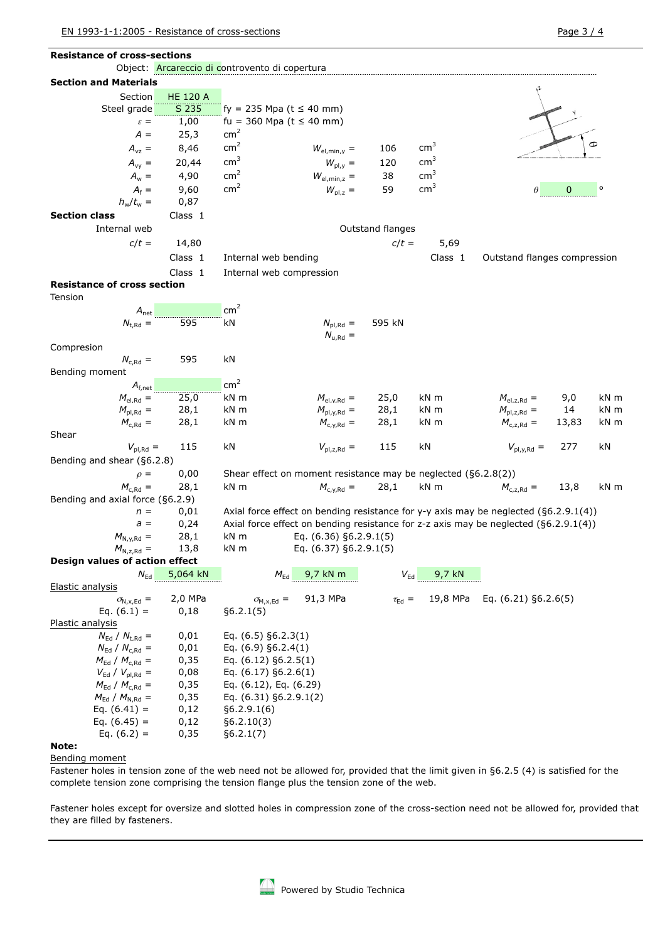| <b>Resistance of cross-sections</b>                                                                                                    |               |
|----------------------------------------------------------------------------------------------------------------------------------------|---------------|
| Object: Arcareccio di controvento di copertura                                                                                         |               |
| <b>Section and Materials</b>                                                                                                           |               |
| Section<br><b>HE 120 A</b>                                                                                                             |               |
| S 235<br>fy = 235 Mpa ( $t \le 40$ mm)<br>Steel grade                                                                                  |               |
| 1,00<br>fu = 360 Mpa ( $t \le 40$ mm)<br>$\varepsilon =$                                                                               |               |
| cm <sup>2</sup><br>$A =$<br>25,3                                                                                                       |               |
| cm <sup>2</sup><br>cm <sup>3</sup><br>8,46<br>106<br>$A_{\rm vz} =$<br>$W_{el,min,y}$ =                                                |               |
| $\text{cm}^3$<br>cm <sup>3</sup><br>$A_{yy} =$<br>20,44<br>$W_{\text{pl},y} =$<br>120                                                  |               |
| cm <sup>2</sup><br>cm <sup>3</sup><br>4,90<br>$A_w =$<br>38<br>$W_{el,min,z}$ =                                                        |               |
| cm <sup>2</sup><br>cm <sup>3</sup><br>$A_f =$<br>9,60<br>$W_{\text{pl},z}$ =<br>59                                                     | 0             |
| 0,87<br>$h_w/t_w =$                                                                                                                    |               |
| <b>Section class</b><br>Class 1                                                                                                        |               |
| Internal web<br>Outstand flanges                                                                                                       |               |
| $c/t =$<br>14,80<br>$c/t =$<br>5,69                                                                                                    |               |
| Class 1<br>Internal web bending<br>Class 1<br>Outstand flanges compression                                                             |               |
| Class 1<br>Internal web compression                                                                                                    |               |
| <b>Resistance of cross section</b>                                                                                                     |               |
| Tension                                                                                                                                |               |
| cm <sup>2</sup><br>$A_{\text{net}}$                                                                                                    |               |
| 595<br>$N_{t,Rd} =$<br>595 kN<br>kN<br>$N_{\text{pl,Rd}} =$<br>$N_{u, Rd} =$                                                           |               |
| Compresion                                                                                                                             |               |
| 595<br>$N_{c, Rd}$ =<br>kN                                                                                                             |               |
| Bending moment                                                                                                                         |               |
| cm <sup>2</sup>                                                                                                                        |               |
| 25,0<br>kN m<br>kN m<br>$M_{el, Rd}$ =<br>25,0<br>$M_{el,z, Rd} =$<br>$M_{\text{el,y,Rd}} =$                                           | 9,0<br>kN m   |
| $M_{\text{pl,Rd}} =$<br>28,1<br>kN m<br>$M_{\text{pl},\gamma,\text{Rd}} =$<br>28,1<br>kN m<br>$M_{\text{pl,z,Rd}} =$                   | 14<br>kN m    |
| 28,1<br>kN m<br>kN m<br>$M_{c,Rd} =$<br>$M_{c.v,Rd} =$<br>28,1<br>$M_{c,z, Rd} =$                                                      | kN m<br>13,83 |
| Shear                                                                                                                                  |               |
| 115<br>kN<br>$V_{\text{pl,z,Rd}} =$<br>115<br>kN<br>$V_{\text{pl},\gamma,\text{Rd}} =$<br>$V_{\text{pl,Rd}} =$                         | 277<br>kN     |
| Bending and shear (§6.2.8)                                                                                                             |               |
| 0,00<br>Shear effect on moment resistance may be neglected $(§6.2.8(2))$<br>$\rho =$                                                   |               |
| kN m<br>$M_{c,Rd} =$<br>28,1<br>28,1<br>kN m<br>$M_{c,z, Rd} =$<br>$M_{c,y,Rd} =$                                                      | 13,8<br>kN m  |
| Bending and axial force (§6.2.9)                                                                                                       |               |
| 0,01<br>Axial force effect on bending resistance for y-y axis may be neglected $(§6.2.9.1(4))$<br>$n =$                                |               |
| 0,24<br>Axial force effect on bending resistance for z-z axis may be neglected $(§6.2.9.1(4))$<br>$a =$                                |               |
| $M_{N,y,Rd} =$<br>kN m<br>28,1<br>Eq. (6.36) §6.2.9.1(5)                                                                               |               |
| 13,8<br>Eq. (6.37) §6.2.9.1(5)<br>kN m<br>$M_{N,z, Rd} =$                                                                              |               |
| Design values of action effect                                                                                                         |               |
| 5,064 kN<br>9,7 kN m<br>9,7 kN<br>$M_{\rm Ed}$<br>$V_{\text{Ed}}$<br>$N_{\sf Ed}$                                                      |               |
| Elastic analysis                                                                                                                       |               |
| 2,0 MPa<br>91,3 MPa<br>19,8 MPa<br>Eq. $(6.21)$ §6.2.6(5)<br>$\sigma_{N.x,Ed}$ =<br>$\sigma_{M,x,\text{Ed}} =$<br>$\tau_{\text{Ed}} =$ |               |
| Eq. $(6.1) =$<br>§6.2.1(5)<br>0,18<br>Plastic analysis                                                                                 |               |
| $N_{\rm Ed}$ / $N_{\rm t, Rd}$ =<br>0,01<br>Eq. $(6.5)$ §6.2.3(1)                                                                      |               |
| $N_{\rm Ed}$ / $N_{\rm c, Rd}$ =<br>0,01<br>Eq. $(6.9)$ §6.2.4 $(1)$                                                                   |               |
| $M_{\rm Ed}$ / $M_{\rm c, Rd}$ =<br>Eq. $(6.12)$ §6.2.5(1)<br>0,35                                                                     |               |
| $V_{\rm Ed}$ / $V_{\rm pl, Rd}$ =<br>Eq. (6.17) §6.2.6(1)<br>0,08                                                                      |               |
| $M_{\rm Ed}$ / $M_{\rm c, Rd}$ =<br>Eq. (6.12), Eq. (6.29)<br>0,35                                                                     |               |
| $M_{\text{Ed}}$ / $M_{\text{N,Rd}} =$<br>Eq. (6.31) §6.2.9.1(2)<br>0,35                                                                |               |
| Eq. $(6.41) =$<br>0,12<br>§6.2.9.1(6)                                                                                                  |               |
| Eq. $(6.45) =$<br>0,12<br>§6.2.10(3)                                                                                                   |               |
|                                                                                                                                        |               |

# **Note:**

Bending moment

Fastener holes in tension zone of the web need not be allowed for, provided that the limit given in §6.2.5 (4) is satisfied for the complete tension zone comprising the tension flange plus the tension zone of the web.

Fastener holes except for oversize and slotted holes in compression zone of the cross-section need not be allowed for, provided that they are filled by fasteners.